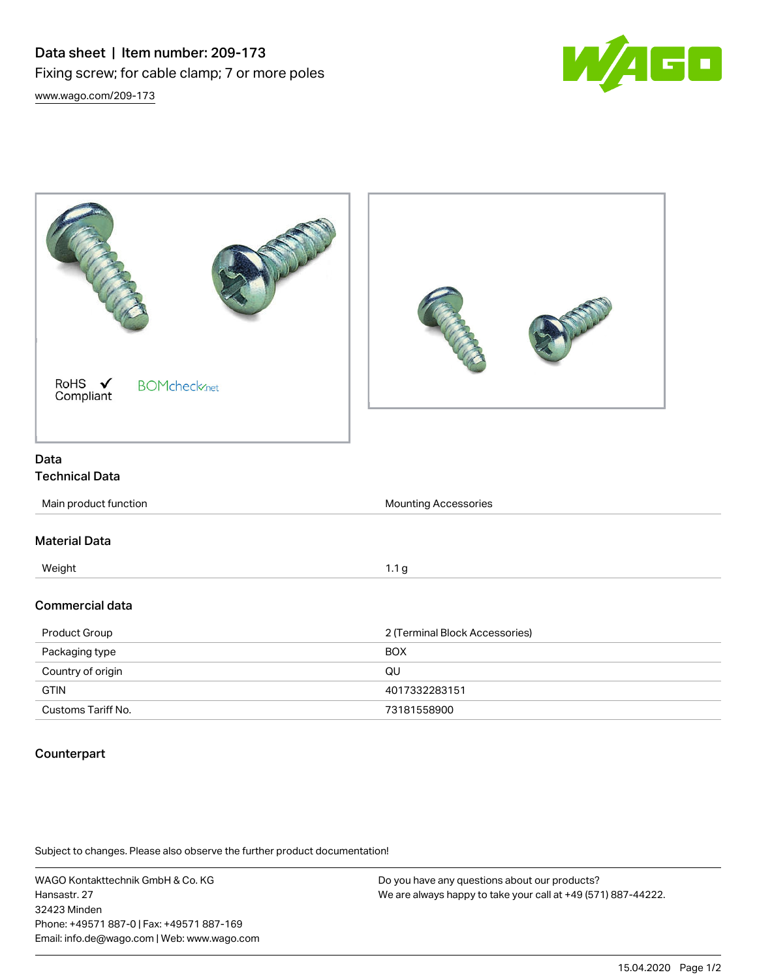



## Counterpart

Subject to changes. Please also observe the further product documentation!

WAGO Kontakttechnik GmbH & Co. KG Hansastr. 27 32423 Minden Phone: +49571 887-0 | Fax: +49571 887-169 Email: info.de@wago.com | Web: www.wago.com

Do you have any questions about our products? We are always happy to take your call at +49 (571) 887-44222.